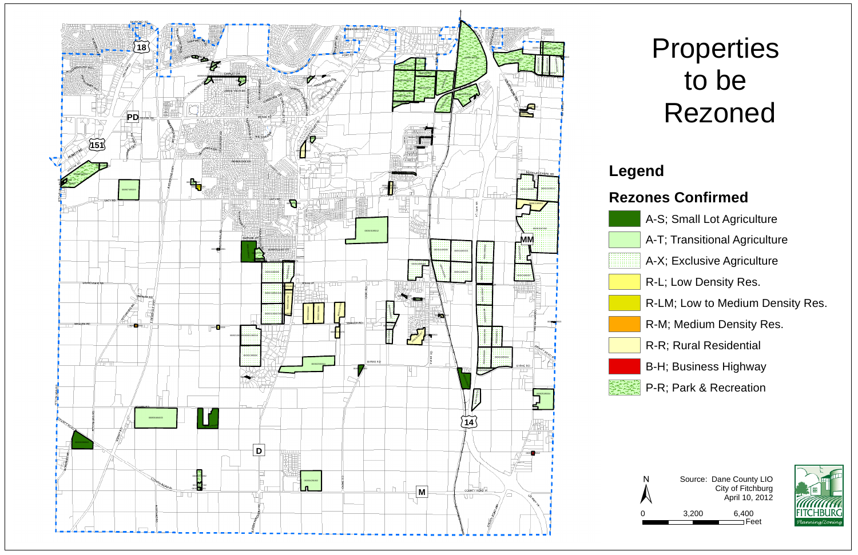



# **Properties** to be Rezoned





### **Legend**

#### **Rezones Confirmed**

- A-S; Small Lot Agriculture
- A-T; Transitional Agriculture
- A-X; Exclusive Agriculture
- R-L; Low Density Res.
- R-LM; Low to Medium Density Res.
- R-M; Medium Density Res.
- R-R; Rural Residential
- B-H; Business Highway
- P-R; Park & Recreation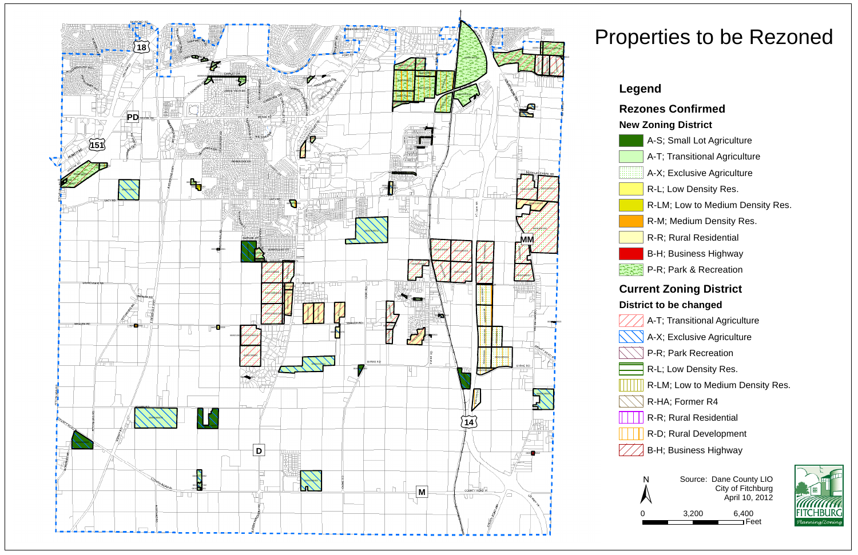

Source: Dane County LIO City of Fitchburg N Source: Dane County LIO<br>City of Fitchburg<br>April 10, 2012





3,200 6,400 Feet

### Properties to be Rezoned

#### **Legend**

#### **Rezones Confirmed**

#### **New Zoning District**

- A-S; Small Lot Agriculture
- A-T; Transitional Agriculture
- A-X; Exclusive Agriculture
- R-L; Low Density Res.
- R-LM; Low to Medium Density Res.
- R-M; Medium Density Res.
- R-R; Rural Residential
- B-H; Business Highway
- P-R; Park & Recreation

#### **Current Zoning District**

#### **District to be changed**

- A-T; Transitional Agriculture
- A-X; Exclusive Agriculture
- P-R; Park Recreation
- R-L; Low Density Res.
- R-LM; Low to Medium Density Res.
- R-HA; Former R4
- R-R; Rural Residential
- R-D; Rural Development
- B-H; Business Highway